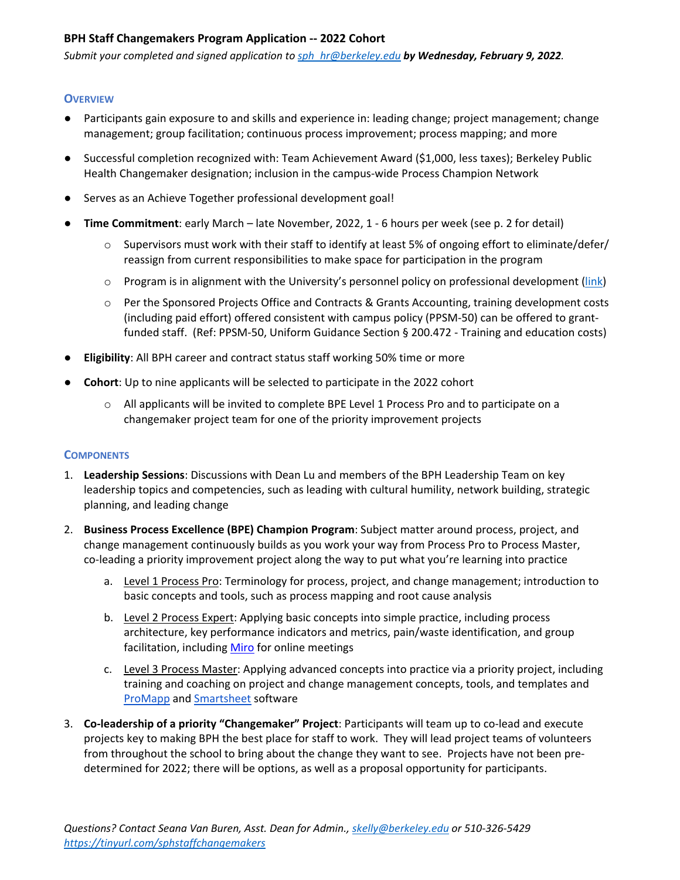### **BPH Staff Changemakers Program Application -- 2022 Cohort**

*Submit your completed and signed application to [sph\\_hr@berkeley.edu](mailto:sph_hr@berkeley.edu) by Wednesday, February 9, 2022.*

#### **OVERVIEW**

- Participants gain exposure to and skills and experience in: leading change; project management; change management; group facilitation; continuous process improvement; process mapping; and more
- Successful completion recognized with: Team Achievement Award (\$1,000, less taxes); Berkeley Public Health Changemaker designation; inclusion in the campus-wide Process Champion Network
- Serves as an Achieve Together professional development goal!
- **Time Commitment**: early March late November, 2022, 1 6 hours per week (see p. 2 for detail)
	- $\circ$  Supervisors must work with their staff to identify at least 5% of ongoing effort to eliminate/defer/ reassign from current responsibilities to make space for participation in the program
	- $\circ$  Program is in alignment with the University's personnel policy on professional development [\(link\)](https://policy.ucop.edu/doc/4010408/PPSM-50)
	- o Per the Sponsored Projects Office and Contracts & Grants Accounting, training development costs (including paid effort) offered consistent with campus policy (PPSM-50) can be offered to grantfunded staff. (Ref: PPSM-50, Uniform Guidance Section § 200.472 - Training and education costs)
- **Eligibility**: All BPH career and contract status staff working 50% time or more
- **Cohort**: Up to nine applicants will be selected to participate in the 2022 cohort
	- o All applicants will be invited to complete BPE Level 1 Process Pro and to participate on a changemaker project team for one of the priority improvement projects

#### **COMPONENTS**

- 1. **Leadership Sessions**: Discussions with Dean Lu and members of the BPH Leadership Team on key leadership topics and competencies, such as leading with cultural humility, network building, strategic planning, and leading change
- 2. **Business Process Excellence (BPE) Champion Program**: Subject matter around process, project, and change management continuously builds as you work your way from Process Pro to Process Master, co-leading a priority improvement project along the way to put what you're learning into practice
	- a. Level 1 Process Pro: Terminology for process, project, and change management; introduction to basic concepts and tools, such as process mapping and root cause analysis
	- b. Level 2 Process Expert: Applying basic concepts into simple practice, including process architecture, key performance indicators and metrics, pain/waste identification, and group facilitation, including [Miro](https://miro.com/about/) for online meetings
	- c. Level 3 Process Master: Applying advanced concepts into practice via a priority project, including training and coaching on project and change management concepts, tools, and templates and [ProMapp](https://www.nintex.com/process-automation/process-mapping/) and [Smartsheet](https://www.smartsheet.com/) software
- 3. **Co-leadership of a priority "Changemaker" Project**: Participants will team up to co-lead and execute projects key to making BPH the best place for staff to work. They will lead project teams of volunteers from throughout the school to bring about the change they want to see. Projects have not been predetermined for 2022; there will be options, as well as a proposal opportunity for participants.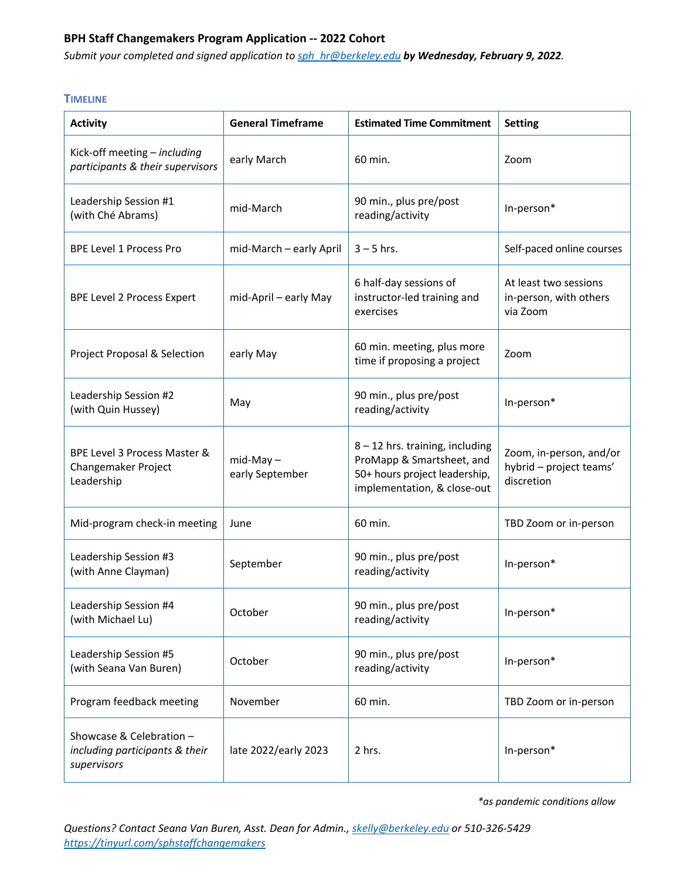## **BPH Staff Changemakers Program Application -- 2022 Cohort**

*Submit your completed and signed application to [sph\\_hr@berkeley.edu](mailto:sph_hr@berkeley.edu) by Wednesday, February 9, 2022.* 

#### **TIMELINE**

| <b>Activity</b>                                                           | <b>General Timeframe</b>       | <b>Estimated Time Commitment</b>                                                                                               | <b>Setting</b>                                                   |
|---------------------------------------------------------------------------|--------------------------------|--------------------------------------------------------------------------------------------------------------------------------|------------------------------------------------------------------|
| Kick-off meeting - including<br>participants & their supervisors          | early March                    | 60 min.                                                                                                                        | Zoom                                                             |
| Leadership Session #1<br>(with Ché Abrams)                                | mid-March                      | 90 min., plus pre/post<br>reading/activity                                                                                     | In-person*                                                       |
| <b>BPE Level 1 Process Pro</b>                                            | mid-March - early April        | $3 - 5$ hrs.                                                                                                                   | Self-paced online courses                                        |
| <b>BPE Level 2 Process Expert</b>                                         | mid-April - early May          | 6 half-day sessions of<br>instructor-led training and<br>exercises                                                             | At least two sessions<br>in-person, with others<br>via Zoom      |
| Project Proposal & Selection                                              | early May                      | 60 min. meeting, plus more<br>time if proposing a project                                                                      | Zoom                                                             |
| Leadership Session #2<br>(with Quin Hussey)                               | May                            | 90 min., plus pre/post<br>reading/activity                                                                                     | In-person*                                                       |
| BPE Level 3 Process Master &<br>Changemaker Project<br>Leadership         | $mid-May -$<br>early September | $8 - 12$ hrs. training, including<br>ProMapp & Smartsheet, and<br>50+ hours project leadership,<br>implementation, & close-out | Zoom, in-person, and/or<br>hybrid - project teams'<br>discretion |
| Mid-program check-in meeting                                              | June                           | 60 min.                                                                                                                        | TBD Zoom or in-person                                            |
| Leadership Session #3<br>(with Anne Clayman)                              | September                      | 90 min., plus pre/post<br>reading/activity                                                                                     | In-person*                                                       |
| Leadership Session #4<br>(with Michael Lu)                                | October                        | 90 min., plus pre/post<br>reading/activity                                                                                     | In-person*                                                       |
| Leadership Session #5<br>(with Seana Van Buren)                           | October                        | 90 min., plus pre/post<br>reading/activity                                                                                     | In-person*                                                       |
| Program feedback meeting                                                  | November                       | 60 min.                                                                                                                        | TBD Zoom or in-person                                            |
| Showcase & Celebration -<br>including participants & their<br>supervisors | late 2022/early 2023           | 2 hrs.                                                                                                                         | In-person*                                                       |

*\*as pandemic conditions allow*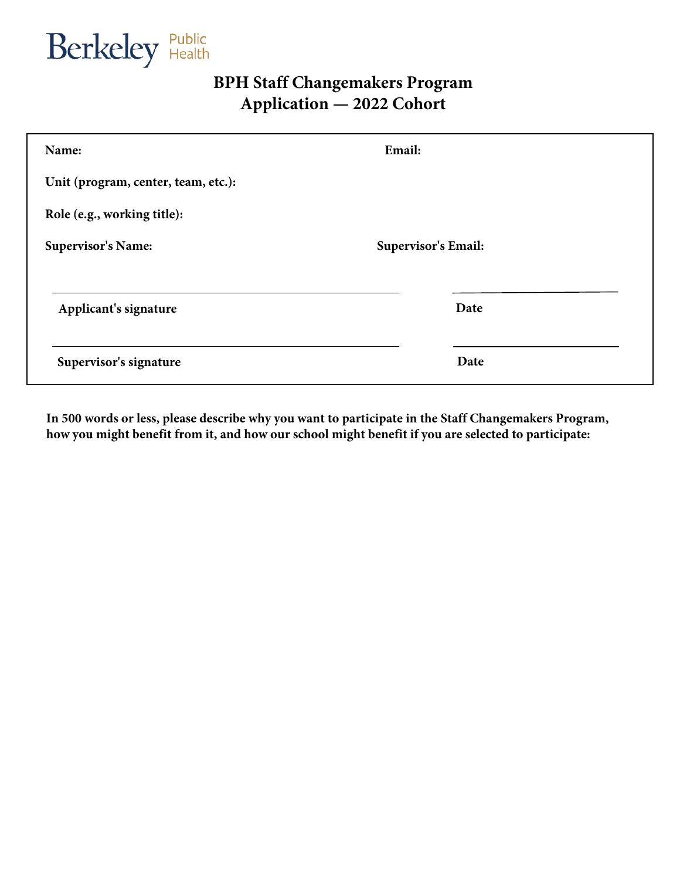Berkeley Public

# **BPH Staff Changemakers Program Application — 2022 Cohort**

| Name:                               | Email:                     |  |  |
|-------------------------------------|----------------------------|--|--|
| Unit (program, center, team, etc.): |                            |  |  |
| Role (e.g., working title):         |                            |  |  |
| <b>Supervisor's Name:</b>           | <b>Supervisor's Email:</b> |  |  |
| Applicant's signature               | Date                       |  |  |
| Supervisor's signature              | Date                       |  |  |

**In 500 words or less, please describe why you want to participate in the Staff Changemakers Program, how you might benefit from it, and how our school might benefit if you are selected to participate:**